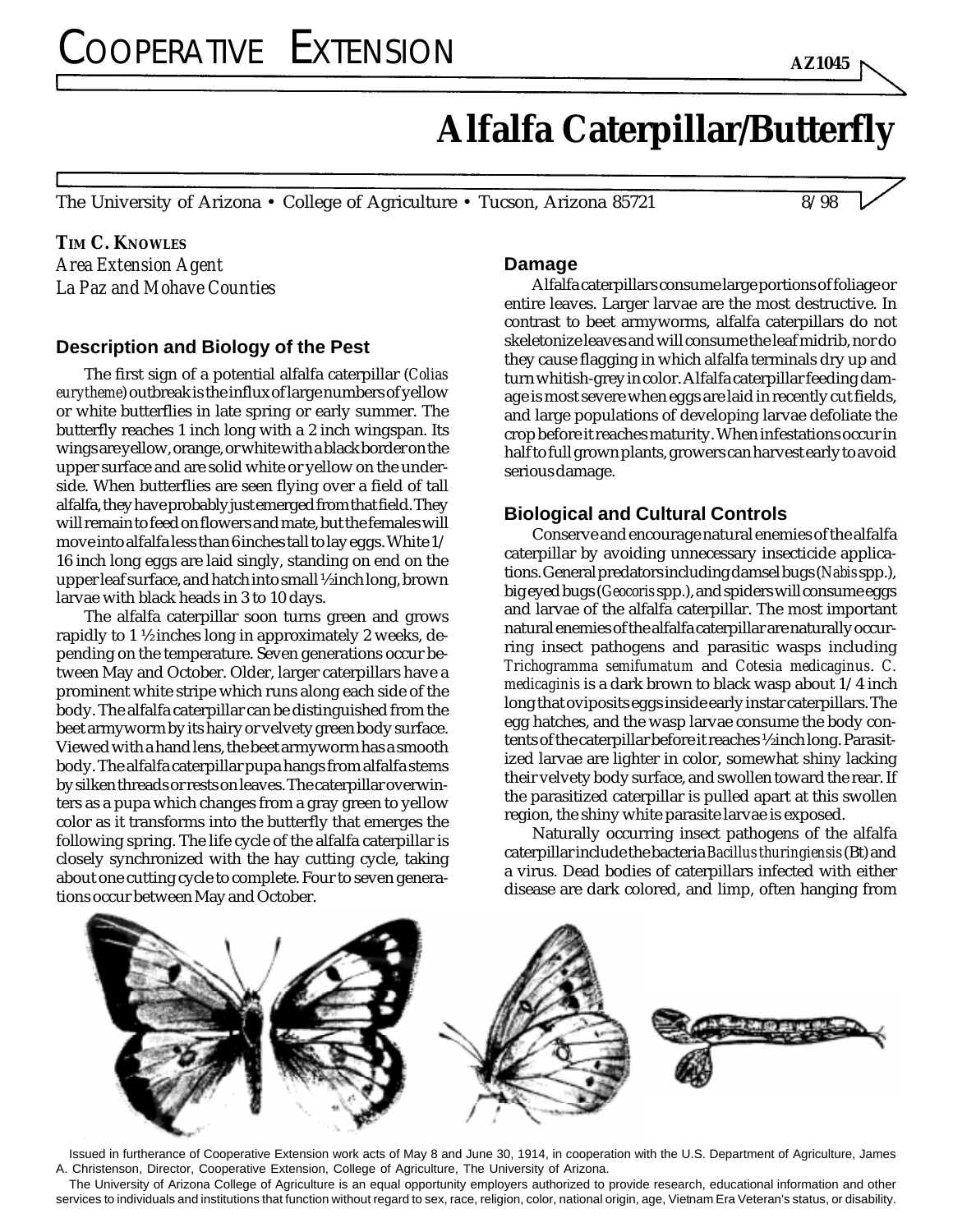# **Alfalfa Caterpillar/Butterfly**

The University of Arizona • College of Agriculture • Tucson, Arizona 85721 8/98

**TIM C. KNOWLES** *Area Extension Agent La Paz and Mohave Counties*

## **Description and Biology of the Pest**

The first sign of a potential alfalfa caterpillar (*Colias eurytheme*) outbreak is the influx of large numbers of yellow or white butterflies in late spring or early summer. The butterfly reaches 1 inch long with a 2 inch wingspan. Its wings are yellow, orange, or white with a black border on the upper surface and are solid white or yellow on the underside. When butterflies are seen flying over a field of tall alfalfa, they have probably just emerged from that field. They will remain to feed on flowers and mate, but the females will move into alfalfa less than 6 inches tall to lay eggs. White 1/ 16 inch long eggs are laid singly, standing on end on the upper leaf surface, and hatch into small ½ inch long, brown larvae with black heads in 3 to 10 days.

The alfalfa caterpillar soon turns green and grows rapidly to 1 ½ inches long in approximately 2 weeks, depending on the temperature. Seven generations occur between May and October. Older, larger caterpillars have a prominent white stripe which runs along each side of the body. The alfalfa caterpillar can be distinguished from the beet armyworm by its hairy or velvety green body surface. Viewed with a hand lens, the beet armyworm has a smooth body. The alfalfa caterpillar pupa hangs from alfalfa stems by silken threads or rests on leaves. The caterpillar overwinters as a pupa which changes from a gray green to yellow color as it transforms into the butterfly that emerges the following spring. The life cycle of the alfalfa caterpillar is closely synchronized with the hay cutting cycle, taking about one cutting cycle to complete. Four to seven generations occur between May and October.

#### **Damage**

Alfalfa caterpillars consume large portions of foliage or entire leaves. Larger larvae are the most destructive. In contrast to beet armyworms, alfalfa caterpillars do not skeletonize leaves and will consume the leaf midrib, nor do they cause flagging in which alfalfa terminals dry up and turn whitish-grey in color. Alfalfa caterpillar feeding damage is most severe when eggs are laid in recently cut fields, and large populations of developing larvae defoliate the crop before it reaches maturity. When infestations occur in half to full grown plants, growers can harvest early to avoid serious damage.

## **Biological and Cultural Controls**

Conserve and encourage natural enemies of the alfalfa caterpillar by avoiding unnecessary insecticide applications. General predators including damsel bugs (*Nabis* spp.), big eyed bugs (*Geocoris* spp.), and spiders will consume eggs and larvae of the alfalfa caterpillar. The most important natural enemies of the alfalfa caterpillar are naturally occurring insect pathogens and parasitic wasps including *Trichogramma semifumatum* and *Cotesia medicaginus*. *C. medicaginis* is a dark brown to black wasp about 1/4 inch long that oviposits eggs inside early instar caterpillars. The egg hatches, and the wasp larvae consume the body contents of the caterpillar before it reaches ½ inch long. Parasitized larvae are lighter in color, somewhat shiny lacking their velvety body surface, and swollen toward the rear. If the parasitized caterpillar is pulled apart at this swollen region, the shiny white parasite larvae is exposed.

Naturally occurring insect pathogens of the alfalfa caterpillar include the bacteria *Bacillus thuringiensis* (Bt) and a virus. Dead bodies of caterpillars infected with either disease are dark colored, and limp, often hanging from



Issued in furtherance of Cooperative Extension work acts of May 8 and June 30, 1914, in cooperation with the U.S. Department of Agriculture, James A. Christenson, Director, Cooperative Extension, College of Agriculture, The University of Arizona.

services to individuals and institutions that function without regard to sex, race, religion, color, national origin, age, Vietnam Era Veteran's status, or disability. The University of Arizona College of Agriculture is an equal opportunity employers authorized to provide research, educational information and other